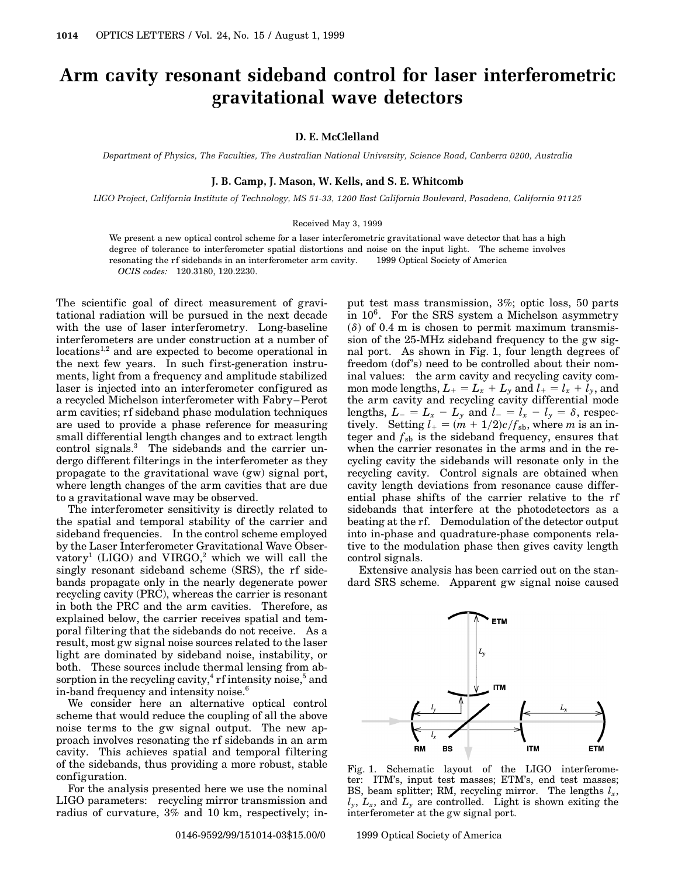# **Arm cavity resonant sideband control for laser interferometric gravitational wave detectors**

## **D. E. McClelland**

*Department of Physics, The Faculties, The Australian National University, Science Road, Canberra 0200, Australia*

## **J. B. Camp, J. Mason, W. Kells, and S. E. Whitcomb**

*LIGO Project, California Institute of Technology, MS 51-33, 1200 East California Boulevard, Pasadena, California 91125*

#### Received May 3, 1999

We present a new optical control scheme for a laser interferometric gravitational wave detector that has a high degree of tolerance to interferometer spatial distortions and noise on the input light. The scheme involves resonating the rf sidebands in an interferometer arm cavity. © 1999 Optical Society of America *OCIS codes:* 120.3180, 120.2230.

The scientific goal of direct measurement of gravitational radiation will be pursued in the next decade with the use of laser interferometry. Long-baseline interferometers are under construction at a number of locations<sup>1,2</sup> and are expected to become operational in the next few years. In such first-generation instruments, light from a frequency and amplitude stabilized laser is injected into an interferometer configured as a recycled Michelson interferometer with Fabry–Perot arm cavities; rf sideband phase modulation techniques are used to provide a phase reference for measuring small differential length changes and to extract length control signals.<sup>3</sup> The sidebands and the carrier undergo different filterings in the interferometer as they propagate to the gravitational wave (gw) signal port, where length changes of the arm cavities that are due to a gravitational wave may be observed.

The interferometer sensitivity is directly related to the spatial and temporal stability of the carrier and sideband frequencies. In the control scheme employed by the Laser Interferometer Gravitational Wave Observatory<sup>1</sup> (LIGO) and VIRGO,<sup>2</sup> which we will call the singly resonant sideband scheme (SRS), the rf sidebands propagate only in the nearly degenerate power recycling cavity (PRC), whereas the carrier is resonant in both the PRC and the arm cavities. Therefore, as explained below, the carrier receives spatial and temporal filtering that the sidebands do not receive. As a result, most gw signal noise sources related to the laser light are dominated by sideband noise, instability, or both. These sources include thermal lensing from absorption in the recycling cavity, $4$  rf intensity noise, $5$  and in-band frequency and intensity noise.<sup>6</sup>

We consider here an alternative optical control scheme that would reduce the coupling of all the above noise terms to the gw signal output. The new approach involves resonating the rf sidebands in an arm cavity. This achieves spatial and temporal filtering of the sidebands, thus providing a more robust, stable configuration.

For the analysis presented here we use the nominal LIGO parameters: recycling mirror transmission and radius of curvature, 3% and 10 km, respectively; in-

put test mass transmission, 3%; optic loss, 50 parts in  $10^6$ . For the SRS system a Michelson asymmetry  $(\delta)$  of 0.4 m is chosen to permit maximum transmission of the 25-MHz sideband frequency to the gw signal port. As shown in Fig. 1, four length degrees of freedom (dof's) need to be controlled about their nominal values: the arm cavity and recycling cavity common mode lengths,  $L_+ = L_x + L_y$  and  $l_+ = l_x + l_y$ , and the arm cavity and recycling cavity differential mode lengths,  $L_{-} = L_{x} - L_{y}$  and  $l_{-} = l_{x} - l_{y} = \delta$ , respectively. Setting  $l_{+} = (m + 1/2)c/f_{sb}$ , where *m* is an integer and  $f_{sb}$  is the sideband frequency, ensures that when the carrier resonates in the arms and in the recycling cavity the sidebands will resonate only in the recycling cavity. Control signals are obtained when cavity length deviations from resonance cause differential phase shifts of the carrier relative to the rf sidebands that interfere at the photodetectors as a beating at the rf. Demodulation of the detector output into in-phase and quadrature-phase components relative to the modulation phase then gives cavity length control signals.

Extensive analysis has been carried out on the standard SRS scheme. Apparent gw signal noise caused



Fig. 1. Schematic layout of the LIGO interferometer: ITM's, input test masses; ETM's, end test masses; BS, beam splitter; RM, recycling mirror. The lengths  $l_x$ ,  $l_y$ ,  $L_x$ , and  $L_y$  are controlled. Light is shown exiting the interferometer at the gw signal port.

0146-9592/99/151014-03\$15.00/0 © 1999 Optical Society of America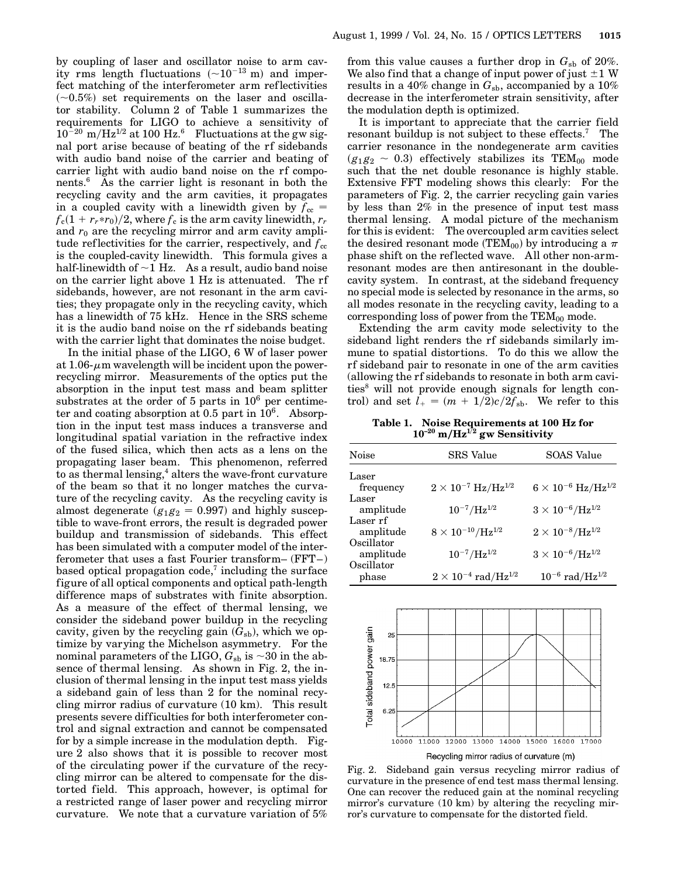It is important to appreciate that the carrier field resonant buildup is not subject to these effects.<sup>7</sup> The carrier resonance in the nondegenerate arm cavities  $(g_1g_2 \sim 0.3)$  effectively stabilizes its TEM<sub>00</sub> mode such that the net double resonance is highly stable. Extensive FFT modeling shows this clearly: For the parameters of Fig. 2, the carrier recycling gain varies by less than 2% in the presence of input test mass thermal lensing. A modal picture of the mechanism for this is evident: The overcoupled arm cavities select the desired resonant mode (TEM $_{00})$  by introducing a  $\pi$ phase shift on the reflected wave. All other non-armresonant modes are then antiresonant in the doublecavity system. In contrast, at the sideband frequency no special mode is selected by resonance in the arms, so all modes resonate in the recycling cavity, leading to a corresponding loss of power from the  $TEM_{00}$  mode.

Extending the arm cavity mode selectivity to the sideband light renders the rf sidebands similarly immune to spatial distortions. To do this we allow the rf sideband pair to resonate in one of the arm cavities (allowing the rf sidebands to resonate in both arm cavities<sup>8</sup> will not provide enough signals for length control) and set  $l_{+} = (m + 1/2)c/2f_{\rm sb}$ . We refer to this

**Table 1. Noise Requirements at 100 Hz for 10–20 mHz1**/**<sup>2</sup> gw Sensitivity**

| Noise      | SRS Value                              | SOAS Value                           |
|------------|----------------------------------------|--------------------------------------|
| Laser      |                                        |                                      |
| frequency  | $2\times10^{-7}~\mathrm{Hz/Hz^{1/2}}$  | $6 \times 10^{-6}~{\rm Hz/Hz^{1/2}}$ |
| Laser      |                                        |                                      |
| amplitude  | $10^{-7}$ /Hz <sup>1/2</sup>           | $3 \times 10^{-6} / \rm{Hz}^{1/2}$   |
| Laser rf   |                                        |                                      |
| amplitude  | $8 \times 10^{-10} / {\rm Hz}^{1/2}$   | $2 \times 10^{-8} / {\rm Hz}^{1/2}$  |
| Oscillator |                                        |                                      |
| amplitude  | $10^{-7} / \text{Hz}^{1/2}$            | $3 \times 10^{-6} / \rm{Hz}^{1/2}$   |
| Oscillator |                                        |                                      |
| phase      | $2\times10^{-4}$ rad/Hz <sup>1/2</sup> | $10^{-6}$ rad/Hz <sup>1/2</sup>      |



Fig. 2. Sideband gain versus recycling mirror radius of curvature in the presence of end test mass thermal lensing. One can recover the reduced gain at the nominal recycling mirror's curvature (10 km) by altering the recycling mirror's curvature to compensate for the distorted field.

ity rms length fluctuations  $(-10^{-13} \text{ m})$  and imperfect matching of the interferometer arm ref lectivities  $(\sim 0.5\%)$  set requirements on the laser and oscillator stability. Column 2 of Table 1 summarizes the requirements for LIGO to achieve a sensitivity of  $10^{-20}$  m/Hz<sup>1/2</sup> at 100 Hz.<sup>6</sup> Fluctuations at the gw signal port arise because of beating of the rf sidebands with audio band noise of the carrier and beating of carrier light with audio band noise on the rf components.6 As the carrier light is resonant in both the recycling cavity and the arm cavities, it propagates in a coupled cavity with a linewidth given by  $f_{cc}$  =  $f_{\rm c}(1+r_r\!\!\ast\! r_0)/2$ , where  $f_{\rm c}$  is the arm cavity linewidth,  $r_r$ and  $r_0$  are the recycling mirror and arm cavity amplitude reflectivities for the carrier, respectively, and  $f_{\text{cc}}$ is the coupled-cavity linewidth. This formula gives a half-linewidth of  $\sim$ 1 Hz. As a result, audio band noise on the carrier light above 1 Hz is attenuated. The rf sidebands, however, are not resonant in the arm cavities; they propagate only in the recycling cavity, which has a linewidth of 75 kHz. Hence in the SRS scheme it is the audio band noise on the rf sidebands beating with the carrier light that dominates the noise budget.

In the initial phase of the LIGO, 6 W of laser power at  $1.06\text{-}\mu$ m wavelength will be incident upon the powerrecycling mirror. Measurements of the optics put the absorption in the input test mass and beam splitter substrates at the order of 5 parts in  $10^6$  per centimeter and coating absorption at  $0.5$  part in  $10^6$ . Absorption in the input test mass induces a transverse and longitudinal spatial variation in the refractive index of the fused silica, which then acts as a lens on the propagating laser beam. This phenomenon, referred to as thermal lensing, $4$  alters the wave-front curvature of the beam so that it no longer matches the curvature of the recycling cavity. As the recycling cavity is almost degenerate  $(g_1g_2 = 0.997)$  and highly susceptible to wave-front errors, the result is degraded power buildup and transmission of sidebands. This effect has been simulated with a computer model of the interferometer that uses a fast Fourier transform– (FFT–) based optical propagation code,<sup> $7$ </sup> including the surface figure of all optical components and optical path-length difference maps of substrates with finite absorption. As a measure of the effect of thermal lensing, we consider the sideband power buildup in the recycling cavity, given by the recycling gain  $(G_{sb})$ , which we optimize by varying the Michelson asymmetry. For the nominal parameters of the LIGO,  $G_{\rm sb}$  is  ${\sim}30$  in the absence of thermal lensing. As shown in Fig. 2, the inclusion of thermal lensing in the input test mass yields a sideband gain of less than 2 for the nominal recycling mirror radius of curvature (10 km). This result presents severe difficulties for both interferometer control and signal extraction and cannot be compensated for by a simple increase in the modulation depth. Figure 2 also shows that it is possible to recover most of the circulating power if the curvature of the recycling mirror can be altered to compensate for the distorted field. This approach, however, is optimal for a restricted range of laser power and recycling mirror curvature. We note that a curvature variation of 5%